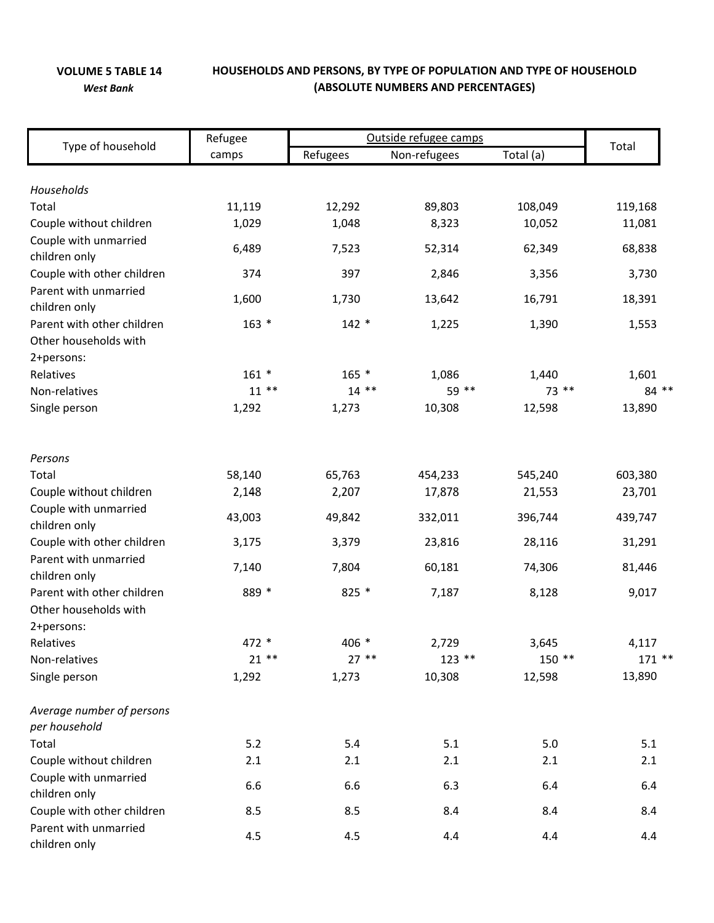## **VOLUME 5 TABLE 14 HOUSEHOLDS AND PERSONS, BY TYPE OF POPULATION AND TYPE OF HOUSEHOLD** *West Bank* **(ABSOLUTE NUMBERS AND PERCENTAGES)**

| Type of household                           | Refugee         | Outside refugee camps |                 |                   |                   |
|---------------------------------------------|-----------------|-----------------------|-----------------|-------------------|-------------------|
|                                             | camps           | Refugees              | Non-refugees    | Total (a)         | Total             |
|                                             |                 |                       |                 |                   |                   |
| Households                                  |                 |                       |                 |                   |                   |
| Total<br>Couple without children            | 11,119<br>1,029 | 12,292<br>1,048       | 89,803<br>8,323 | 108,049<br>10,052 | 119,168<br>11,081 |
| Couple with unmarried                       |                 |                       |                 |                   |                   |
| children only                               | 6,489           | 7,523                 | 52,314          | 62,349            | 68,838            |
| Couple with other children                  | 374             | 397                   | 2,846           | 3,356             | 3,730             |
| Parent with unmarried                       |                 |                       |                 |                   |                   |
| children only                               | 1,600           | 1,730                 | 13,642          | 16,791            | 18,391            |
| Parent with other children                  | $163 *$         | $142 *$               | 1,225           | 1,390             | 1,553             |
| Other households with                       |                 |                       |                 |                   |                   |
| 2+persons:                                  |                 |                       |                 |                   |                   |
| Relatives                                   | $161 *$         | $165 *$               | 1,086           | 1,440             | 1,601             |
| Non-relatives                               | $11***$         | $14***$               | 59 **           | 73 **             | 84 **             |
| Single person                               | 1,292           | 1,273                 | 10,308          | 12,598            | 13,890            |
| Persons                                     |                 |                       |                 |                   |                   |
| Total                                       | 58,140          | 65,763                | 454,233         | 545,240           | 603,380           |
| Couple without children                     | 2,148           | 2,207                 | 17,878          | 21,553            | 23,701            |
| Couple with unmarried                       |                 |                       |                 |                   |                   |
| children only                               | 43,003          | 49,842                | 332,011         | 396,744           | 439,747           |
| Couple with other children                  | 3,175           | 3,379                 | 23,816          | 28,116            | 31,291            |
| Parent with unmarried                       | 7,140           | 7,804                 | 60,181          | 74,306            | 81,446            |
| children only                               |                 |                       |                 |                   |                   |
| Parent with other children                  | 889 *           | 825 *                 | 7,187           | 8,128             | 9,017             |
| Other households with                       |                 |                       |                 |                   |                   |
| 2+persons:                                  |                 |                       |                 |                   |                   |
| Relatives                                   | 472 *<br>$21**$ | 406 *                 | 2,729           | 3,645<br>$150**$  | 4,117             |
| Non-relatives                               |                 | $27**$                | $123$ **        |                   | $171**$           |
| Single person                               | 1,292           | 1,273                 | 10,308          | 12,598            | 13,890            |
| Average number of persons                   |                 |                       |                 |                   |                   |
| per household                               |                 |                       |                 |                   |                   |
| Total                                       | 5.2             | 5.4                   | 5.1             | 5.0               | 5.1               |
| Couple without children                     | 2.1             | 2.1                   | 2.1             | 2.1               | 2.1               |
| Couple with unmarried                       | 6.6             | 6.6                   | 6.3             | 6.4               | 6.4               |
| children only<br>Couple with other children | 8.5             | 8.5                   | 8.4             | 8.4               | 8.4               |
| Parent with unmarried                       |                 |                       |                 |                   |                   |
| children only                               | 4.5             | 4.5                   | 4.4             | 4.4               | 4.4               |